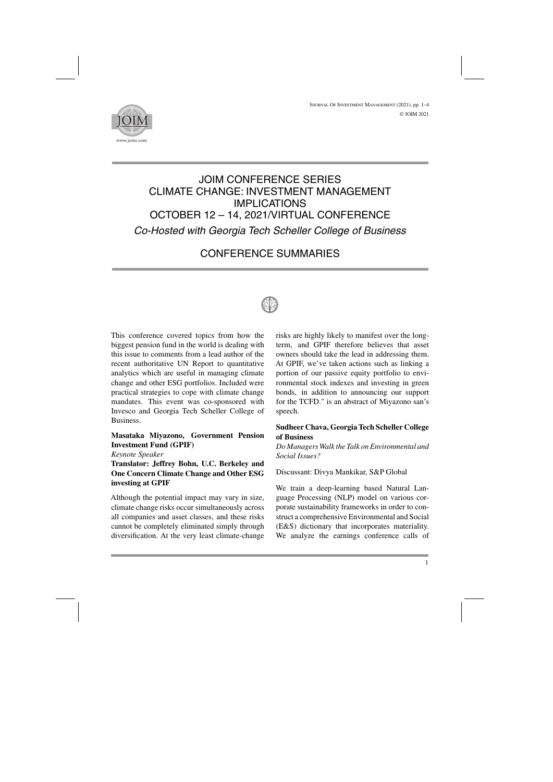

# JOIM CONFERENCE SERIES CLIMATE CHANGE: INVESTMENT MANAGEMENT IMPLICATIONS OCTOBER 12 – 14, 2021/VIRTUAL CONFERENCE *Co-Hosted with Georgia Tech Scheller College of Business*

## CONFERENCE SUMMARIES



This conference covered topics from how the biggest pension fund in the world is dealing with this issue to comments from a lead author of the recent authoritative UN Report to quantitative analytics which are useful in managing climate change and other ESG portfolios. Included were practical strategies to cope with climate change mandates. This event was co-sponsored with Invesco and Georgia Tech Scheller College of Business.

## **Masataka Miyazono, Government Pension Investment Fund (GPIF)**

#### *Keynote Speaker*

**Translator: Jeffrey Bohn, U.C. Berkeley and One Concern Climate Change and Other ESG investing at GPIF**

Although the potential impact may vary in size, climate change risks occur simultaneously across all companies and asset classes, and these risks cannot be completely eliminated simply through diversification. At the very least climate-change risks are highly likely to manifest over the longterm, and GPIF therefore believes that asset owners should take the lead in addressing them. At GPIF, we've taken actions such as linking a portion of our passive equity portfolio to environmental stock indexes and investing in green bonds, in addition to announcing our support for the TCFD." is an abstract of Miyazono san's speech.

## **Sudheer Chava, GeorgiaTech Scheller College of Business**

*Do ManagersWalk theTalk on Environmental and Social Issues?*

Discussant: Divya Mankikar, S&P Global

We train a deep-learning based Natural Language Processing (NLP) model on various corporate sustainability frameworks in order to construct a comprehensive Environmental and Social (E&S) dictionary that incorporates materiality. We analyze the earnings conference calls of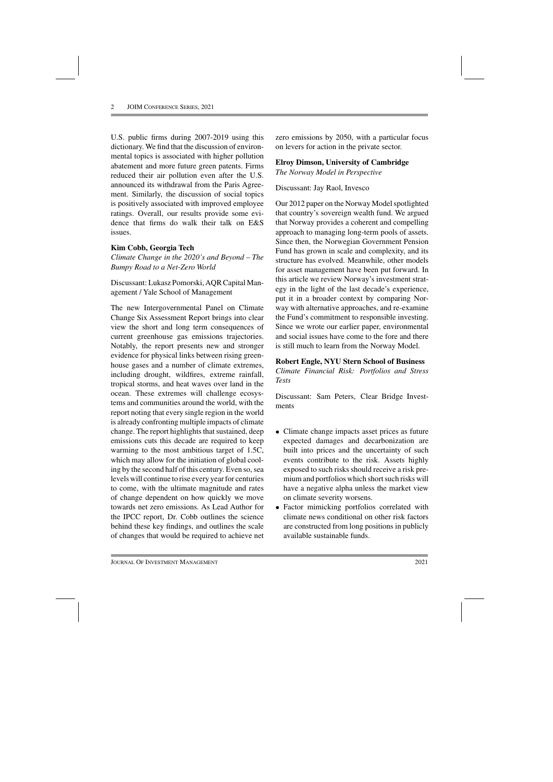U.S. public firms during 2007-2019 using this dictionary. We find that the discussion of environmental topics is associated with higher pollution abatement and more future green patents. Firms reduced their air pollution even after the U.S. announced its withdrawal from the Paris Agreement. Similarly, the discussion of social topics is positively associated with improved employee ratings. Overall, our results provide some evidence that firms do walk their talk on E&S issues.

#### **Kim Cobb, Georgia Tech**

*Climate Change in the 2020's and Beyond – The Bumpy Road to a Net-Zero World*

Discussant: Lukasz Pomorski, AQR Capital Management / Yale School of Management

The new Intergovernmental Panel on Climate Change Six Assessment Report brings into clear view the short and long term consequences of current greenhouse gas emissions trajectories. Notably, the report presents new and stronger evidence for physical links between rising greenhouse gases and a number of climate extremes, including drought, wildfires, extreme rainfall, tropical storms, and heat waves over land in the ocean. These extremes will challenge ecosystems and communities around the world, with the report noting that every single region in the world is already confronting multiple impacts of climate change. The report highlights that sustained, deep emissions cuts this decade are required to keep warming to the most ambitious target of 1.5C, which may allow for the initiation of global cooling by the second half of this century. Even so, sea levels will continue to rise every year for centuries to come, with the ultimate magnitude and rates of change dependent on how quickly we move towards net zero emissions. As Lead Author for the IPCC report, Dr. Cobb outlines the science behind these key findings, and outlines the scale of changes that would be required to achieve net zero emissions by 2050, with a particular focus on levers for action in the private sector.

#### **Elroy Dimson, University of Cambridge** *The Norway Model in Perspective*

## Discussant: Jay Raol, Invesco

Our 2012 paper on the Norway Model spotlighted that country's sovereign wealth fund. We argued that Norway provides a coherent and compelling approach to managing long-term pools of assets. Since then, the Norwegian Government Pension Fund has grown in scale and complexity, and its structure has evolved. Meanwhile, other models for asset management have been put forward. In this article we review Norway's investment strategy in the light of the last decade's experience, put it in a broader context by comparing Norway with alternative approaches, and re-examine the Fund's commitment to responsible investing. Since we wrote our earlier paper, environmental and social issues have come to the fore and there is still much to learn from the Norway Model.

#### **Robert Engle, NYU Stern School of Business**

*Climate Financial Risk: Portfolios and Stress Tests*

Discussant: Sam Peters, Clear Bridge Investments

- Climate change impacts asset prices as future expected damages and decarbonization are built into prices and the uncertainty of such events contribute to the risk. Assets highly exposed to such risks should receive a risk premium and portfolios which short such risks will have a negative alpha unless the market view on climate severity worsens.
- Factor mimicking portfolios correlated with climate news conditional on other risk factors are constructed from long positions in publicly available sustainable funds.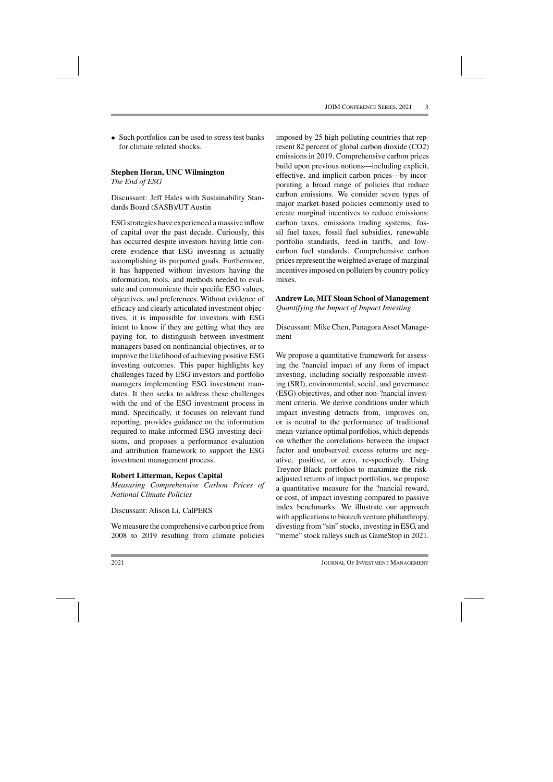• Such portfolios can be used to stress test banks for climate related shocks.

## **Stephen Horan, UNC Wilmington**

*The End of ESG*

Discussant: Jeff Hales with Sustainability Standards Board (SASB)/UT Austin

ESG strategies have experienced amassive inflow of capital over the past decade. Curiously, this has occurred despite investors having little concrete evidence that ESG investing is actually accomplishing its purported goals. Furthermore, it has happened without investors having the information, tools, and methods needed to evaluate and communicate their specific ESG values, objectives, and preferences. Without evidence of efficacy and clearly articulated investment objectives, it is impossible for investors with ESG intent to know if they are getting what they are paying for, to distinguish between investment managers based on nonfinancial objectives, or to improve the likelihood of achieving positive ESG investing outcomes. This paper highlights key challenges faced by ESG investors and portfolio managers implementing ESG investment mandates. It then seeks to address these challenges with the end of the ESG investment process in mind. Specifically, it focuses on relevant fund reporting, provides guidance on the information required to make informed ESG investing decisions, and proposes a performance evaluation and attribution framework to support the ESG investment management process.

#### **Robert Litterman, Kepos Capital**

*Measuring Comprehensive Carbon Prices of National Climate Policies*

Discussant: Alison Li, CalPERS

We measure the comprehensive carbon price from 2008 to 2019 resulting from climate policies

imposed by 25 high polluting countries that represent 82 percent of global carbon dioxide (CO2) emissions in 2019. Comprehensive carbon prices build upon previous notions—including explicit, effective, and implicit carbon prices—by incorporating a broad range of policies that reduce carbon emissions. We consider seven types of major market-based policies commonly used to create marginal incentives to reduce emissions: carbon taxes, emissions trading systems, fossil fuel taxes, fossil fuel subsidies, renewable portfolio standards, feed-in tariffs, and lowcarbon fuel standards. Comprehensive carbon prices represent the weighted average of marginal incentives imposed on polluters by country policy mixes.

#### **Andrew Lo, MIT Sloan School of Management** *Quantifying the Impact of Impact Investing*

Discussant: Mike Chen, Panagora Asset Management

We propose a quantitative framework for assessing the ?nancial impact of any form of impact investing, including socially responsible investing (SRI), environmental, social, and governance (ESG) objectives, and other non-?nancial investment criteria. We derive conditions under which impact investing detracts from, improves on, or is neutral to the performance of traditional mean-variance optimal portfolios, which depends on whether the correlations between the impact factor and unobserved excess returns are negative, positive, or zero, re-spectively. Using Treynor-Black portfolios to maximize the riskadjusted returns of impact portfolios, we propose a quantitative measure for the ?nancial reward, or cost, of impact investing compared to passive index benchmarks. We illustrate our approach with applications to biotech venture philanthropy, divesting from "sin" stocks, investing in ESG, and "meme" stock ralleys such as GameStop in 2021.